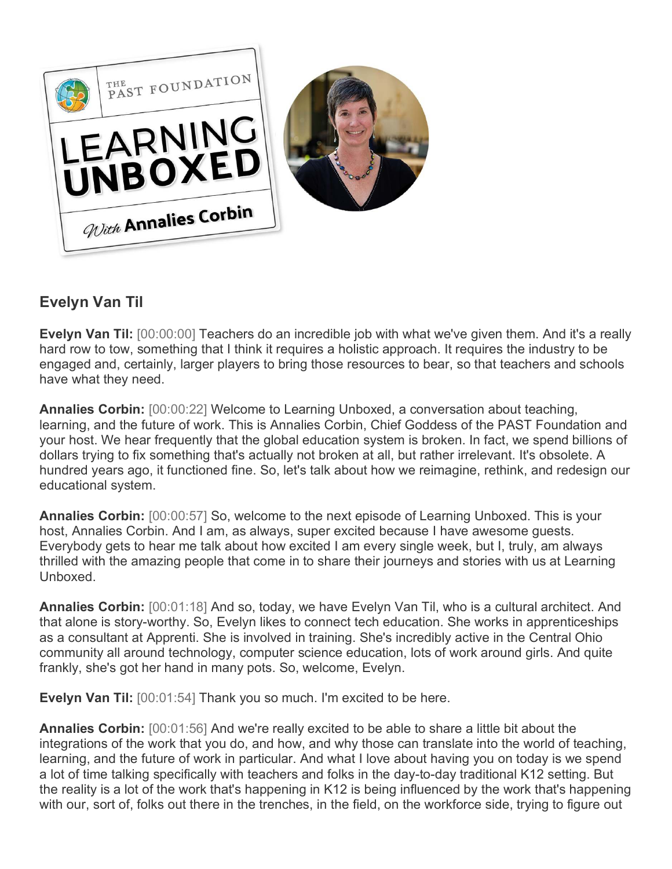

## **Evelyn Van Til**

**Evelyn Van Til:** [00:00:00] Teachers do an incredible job with what we've given them. And it's a really hard row to tow, something that I think it requires a holistic approach. It requires the industry to be engaged and, certainly, larger players to bring those resources to bear, so that teachers and schools have what they need.

**Annalies Corbin:** [00:00:22] Welcome to Learning Unboxed, a conversation about teaching, learning, and the future of work. This is Annalies Corbin, Chief Goddess of the PAST Foundation and your host. We hear frequently that the global education system is broken. In fact, we spend billions of dollars trying to fix something that's actually not broken at all, but rather irrelevant. It's obsolete. A hundred years ago, it functioned fine. So, let's talk about how we reimagine, rethink, and redesign our educational system.

**Annalies Corbin:** [00:00:57] So, welcome to the next episode of Learning Unboxed. This is your host, Annalies Corbin. And I am, as always, super excited because I have awesome guests. Everybody gets to hear me talk about how excited I am every single week, but I, truly, am always thrilled with the amazing people that come in to share their journeys and stories with us at Learning Unboxed.

**Annalies Corbin:** [00:01:18] And so, today, we have Evelyn Van Til, who is a cultural architect. And that alone is story-worthy. So, Evelyn likes to connect tech education. She works in apprenticeships as a consultant at Apprenti. She is involved in training. She's incredibly active in the Central Ohio community all around technology, computer science education, lots of work around girls. And quite frankly, she's got her hand in many pots. So, welcome, Evelyn.

**Evelyn Van Til:** [00:01:54] Thank you so much. I'm excited to be here.

**Annalies Corbin:** [00:01:56] And we're really excited to be able to share a little bit about the integrations of the work that you do, and how, and why those can translate into the world of teaching, learning, and the future of work in particular. And what I love about having you on today is we spend a lot of time talking specifically with teachers and folks in the day-to-day traditional K12 setting. But the reality is a lot of the work that's happening in K12 is being influenced by the work that's happening with our, sort of, folks out there in the trenches, in the field, on the workforce side, trying to figure out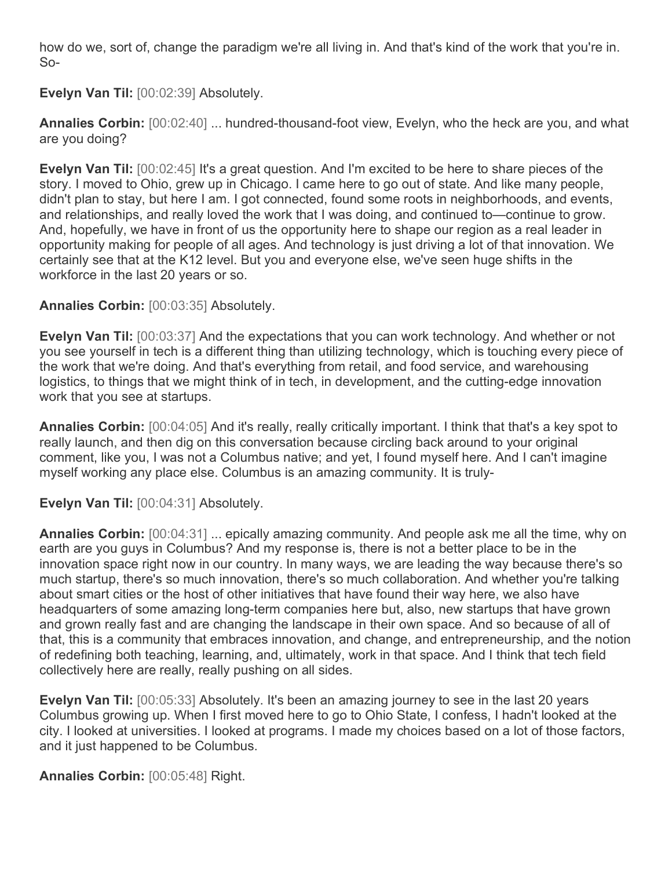how do we, sort of, change the paradigm we're all living in. And that's kind of the work that you're in. So-

**Evelyn Van Til:** [00:02:39] Absolutely.

**Annalies Corbin:** [00:02:40] ... hundred-thousand-foot view, Evelyn, who the heck are you, and what are you doing?

**Evelyn Van Til:** [00:02:45] It's a great question. And I'm excited to be here to share pieces of the story. I moved to Ohio, grew up in Chicago. I came here to go out of state. And like many people, didn't plan to stay, but here I am. I got connected, found some roots in neighborhoods, and events, and relationships, and really loved the work that I was doing, and continued to—continue to grow. And, hopefully, we have in front of us the opportunity here to shape our region as a real leader in opportunity making for people of all ages. And technology is just driving a lot of that innovation. We certainly see that at the K12 level. But you and everyone else, we've seen huge shifts in the workforce in the last 20 years or so.

**Annalies Corbin:** [00:03:35] Absolutely.

**Evelyn Van Til:** [00:03:37] And the expectations that you can work technology. And whether or not you see yourself in tech is a different thing than utilizing technology, which is touching every piece of the work that we're doing. And that's everything from retail, and food service, and warehousing logistics, to things that we might think of in tech, in development, and the cutting-edge innovation work that you see at startups.

**Annalies Corbin:** [00:04:05] And it's really, really critically important. I think that that's a key spot to really launch, and then dig on this conversation because circling back around to your original comment, like you, I was not a Columbus native; and yet, I found myself here. And I can't imagine myself working any place else. Columbus is an amazing community. It is truly-

**Evelyn Van Til:** [00:04:31] Absolutely.

**Annalies Corbin:** [00:04:31] ... epically amazing community. And people ask me all the time, why on earth are you guys in Columbus? And my response is, there is not a better place to be in the innovation space right now in our country. In many ways, we are leading the way because there's so much startup, there's so much innovation, there's so much collaboration. And whether you're talking about smart cities or the host of other initiatives that have found their way here, we also have headquarters of some amazing long-term companies here but, also, new startups that have grown and grown really fast and are changing the landscape in their own space. And so because of all of that, this is a community that embraces innovation, and change, and entrepreneurship, and the notion of redefining both teaching, learning, and, ultimately, work in that space. And I think that tech field collectively here are really, really pushing on all sides.

**Evelyn Van Til:** [00:05:33] Absolutely. It's been an amazing journey to see in the last 20 years Columbus growing up. When I first moved here to go to Ohio State, I confess, I hadn't looked at the city. I looked at universities. I looked at programs. I made my choices based on a lot of those factors, and it just happened to be Columbus.

**Annalies Corbin:** [00:05:48] Right.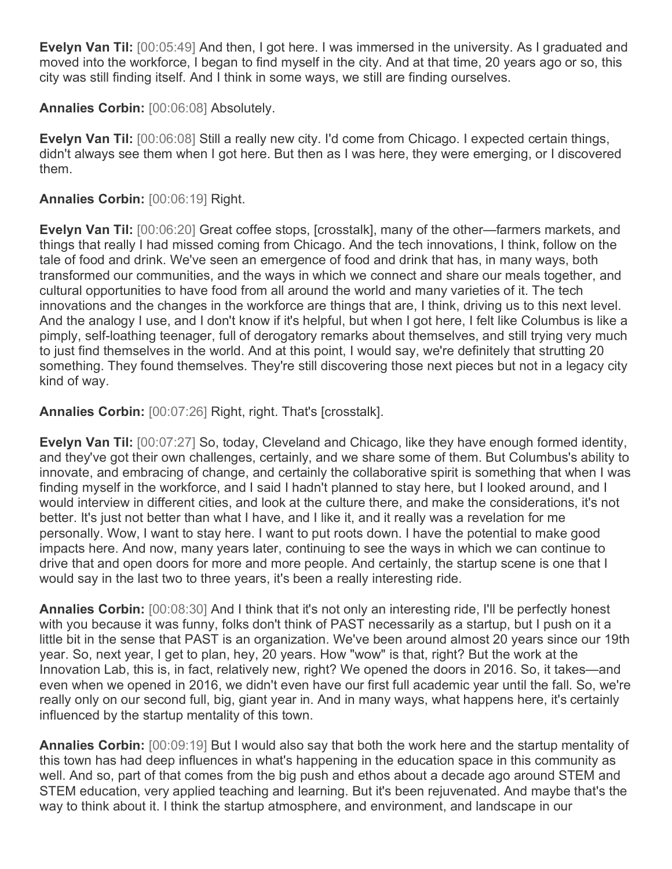**Evelyn Van Til:** [00:05:49] And then, I got here. I was immersed in the university. As I graduated and moved into the workforce, I began to find myself in the city. And at that time, 20 years ago or so, this city was still finding itself. And I think in some ways, we still are finding ourselves.

**Annalies Corbin:** [00:06:08] Absolutely.

**Evelyn Van Til:** [00:06:08] Still a really new city. I'd come from Chicago. I expected certain things, didn't always see them when I got here. But then as I was here, they were emerging, or I discovered them.

## **Annalies Corbin:** [00:06:19] Right.

**Evelyn Van Til:** [00:06:20] Great coffee stops, [crosstalk], many of the other—farmers markets, and things that really I had missed coming from Chicago. And the tech innovations, I think, follow on the tale of food and drink. We've seen an emergence of food and drink that has, in many ways, both transformed our communities, and the ways in which we connect and share our meals together, and cultural opportunities to have food from all around the world and many varieties of it. The tech innovations and the changes in the workforce are things that are, I think, driving us to this next level. And the analogy I use, and I don't know if it's helpful, but when I got here, I felt like Columbus is like a pimply, self-loathing teenager, full of derogatory remarks about themselves, and still trying very much to just find themselves in the world. And at this point, I would say, we're definitely that strutting 20 something. They found themselves. They're still discovering those next pieces but not in a legacy city kind of way.

**Annalies Corbin:** [00:07:26] Right, right. That's [crosstalk].

**Evelyn Van Til:** [00:07:27] So, today, Cleveland and Chicago, like they have enough formed identity, and they've got their own challenges, certainly, and we share some of them. But Columbus's ability to innovate, and embracing of change, and certainly the collaborative spirit is something that when I was finding myself in the workforce, and I said I hadn't planned to stay here, but I looked around, and I would interview in different cities, and look at the culture there, and make the considerations, it's not better. It's just not better than what I have, and I like it, and it really was a revelation for me personally. Wow, I want to stay here. I want to put roots down. I have the potential to make good impacts here. And now, many years later, continuing to see the ways in which we can continue to drive that and open doors for more and more people. And certainly, the startup scene is one that I would say in the last two to three years, it's been a really interesting ride.

**Annalies Corbin:** [00:08:30] And I think that it's not only an interesting ride, I'll be perfectly honest with you because it was funny, folks don't think of PAST necessarily as a startup, but I push on it a little bit in the sense that PAST is an organization. We've been around almost 20 years since our 19th year. So, next year, I get to plan, hey, 20 years. How "wow" is that, right? But the work at the Innovation Lab, this is, in fact, relatively new, right? We opened the doors in 2016. So, it takes—and even when we opened in 2016, we didn't even have our first full academic year until the fall. So, we're really only on our second full, big, giant year in. And in many ways, what happens here, it's certainly influenced by the startup mentality of this town.

**Annalies Corbin:** [00:09:19] But I would also say that both the work here and the startup mentality of this town has had deep influences in what's happening in the education space in this community as well. And so, part of that comes from the big push and ethos about a decade ago around STEM and STEM education, very applied teaching and learning. But it's been rejuvenated. And maybe that's the way to think about it. I think the startup atmosphere, and environment, and landscape in our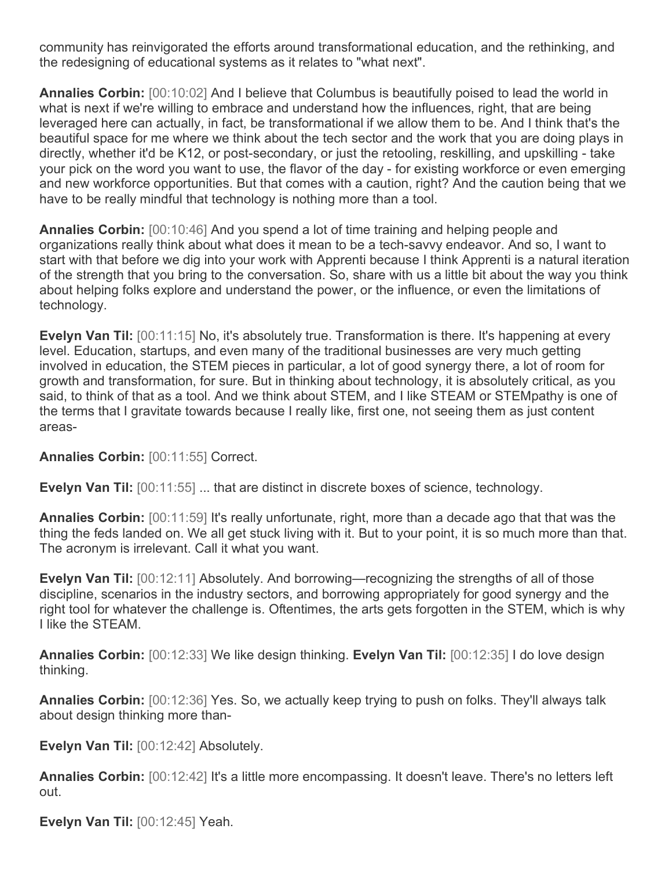community has reinvigorated the efforts around transformational education, and the rethinking, and the redesigning of educational systems as it relates to "what next".

**Annalies Corbin:** [00:10:02] And I believe that Columbus is beautifully poised to lead the world in what is next if we're willing to embrace and understand how the influences, right, that are being leveraged here can actually, in fact, be transformational if we allow them to be. And I think that's the beautiful space for me where we think about the tech sector and the work that you are doing plays in directly, whether it'd be K12, or post-secondary, or just the retooling, reskilling, and upskilling - take your pick on the word you want to use, the flavor of the day - for existing workforce or even emerging and new workforce opportunities. But that comes with a caution, right? And the caution being that we have to be really mindful that technology is nothing more than a tool.

**Annalies Corbin:** [00:10:46] And you spend a lot of time training and helping people and organizations really think about what does it mean to be a tech-savvy endeavor. And so, I want to start with that before we dig into your work with Apprenti because I think Apprenti is a natural iteration of the strength that you bring to the conversation. So, share with us a little bit about the way you think about helping folks explore and understand the power, or the influence, or even the limitations of technology.

**Evelyn Van Til:** [00:11:15] No, it's absolutely true. Transformation is there. It's happening at every level. Education, startups, and even many of the traditional businesses are very much getting involved in education, the STEM pieces in particular, a lot of good synergy there, a lot of room for growth and transformation, for sure. But in thinking about technology, it is absolutely critical, as you said, to think of that as a tool. And we think about STEM, and I like STEAM or STEMpathy is one of the terms that I gravitate towards because I really like, first one, not seeing them as just content areas-

**Annalies Corbin:** [00:11:55] Correct.

**Evelyn Van Til:** [00:11:55] ... that are distinct in discrete boxes of science, technology.

**Annalies Corbin:** [00:11:59] It's really unfortunate, right, more than a decade ago that that was the thing the feds landed on. We all get stuck living with it. But to your point, it is so much more than that. The acronym is irrelevant. Call it what you want.

**Evelyn Van Til:** [00:12:11] Absolutely. And borrowing—recognizing the strengths of all of those discipline, scenarios in the industry sectors, and borrowing appropriately for good synergy and the right tool for whatever the challenge is. Oftentimes, the arts gets forgotten in the STEM, which is why I like the STEAM.

**Annalies Corbin:** [00:12:33] We like design thinking. **Evelyn Van Til:** [00:12:35] I do love design thinking.

**Annalies Corbin:** [00:12:36] Yes. So, we actually keep trying to push on folks. They'll always talk about design thinking more than-

**Evelyn Van Til:** [00:12:42] Absolutely.

**Annalies Corbin:** [00:12:42] It's a little more encompassing. It doesn't leave. There's no letters left out.

**Evelyn Van Til:** [00:12:45] Yeah.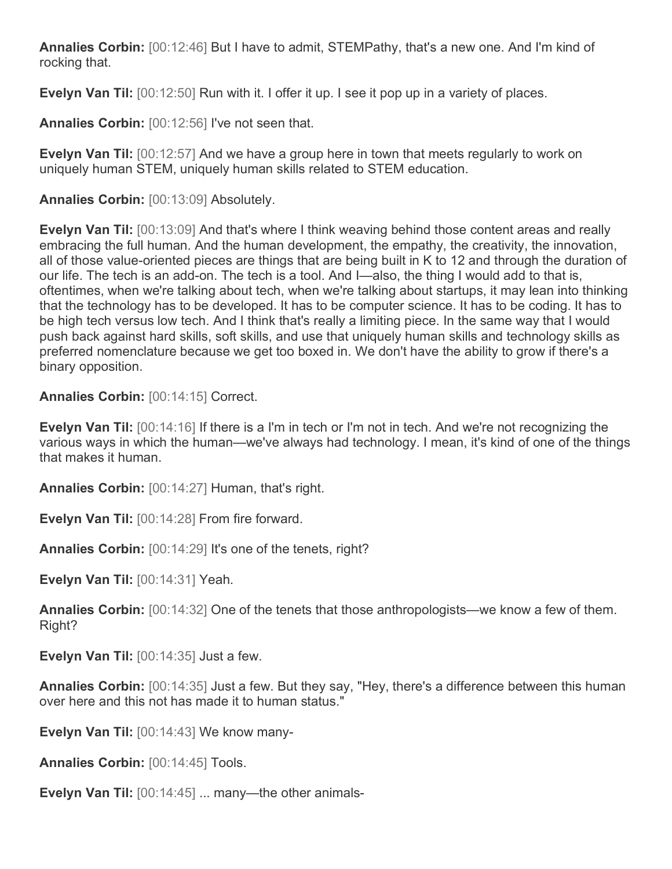**Annalies Corbin:** [00:12:46] But I have to admit, STEMPathy, that's a new one. And I'm kind of rocking that.

**Evelyn Van Til:** [00:12:50] Run with it. I offer it up. I see it pop up in a variety of places.

**Annalies Corbin:** [00:12:56] I've not seen that.

**Evelyn Van Til:** [00:12:57] And we have a group here in town that meets regularly to work on uniquely human STEM, uniquely human skills related to STEM education.

**Annalies Corbin:** [00:13:09] Absolutely.

**Evelyn Van Til:** [00:13:09] And that's where I think weaving behind those content areas and really embracing the full human. And the human development, the empathy, the creativity, the innovation, all of those value-oriented pieces are things that are being built in K to 12 and through the duration of our life. The tech is an add-on. The tech is a tool. And I—also, the thing I would add to that is, oftentimes, when we're talking about tech, when we're talking about startups, it may lean into thinking that the technology has to be developed. It has to be computer science. It has to be coding. It has to be high tech versus low tech. And I think that's really a limiting piece. In the same way that I would push back against hard skills, soft skills, and use that uniquely human skills and technology skills as preferred nomenclature because we get too boxed in. We don't have the ability to grow if there's a binary opposition.

**Annalies Corbin:** [00:14:15] Correct.

**Evelyn Van Til:** [00:14:16] If there is a I'm in tech or I'm not in tech. And we're not recognizing the various ways in which the human—we've always had technology. I mean, it's kind of one of the things that makes it human.

**Annalies Corbin:** [00:14:27] Human, that's right.

**Evelyn Van Til:** [00:14:28] From fire forward.

**Annalies Corbin:** [00:14:29] It's one of the tenets, right?

**Evelyn Van Til:** [00:14:31] Yeah.

**Annalies Corbin:** [00:14:32] One of the tenets that those anthropologists—we know a few of them. Right?

**Evelyn Van Til:** [00:14:35] Just a few.

**Annalies Corbin:** [00:14:35] Just a few. But they say, "Hey, there's a difference between this human over here and this not has made it to human status."

**Evelyn Van Til:** [00:14:43] We know many-

**Annalies Corbin:** [00:14:45] Tools.

**Evelyn Van Til:** [00:14:45] ... many—the other animals-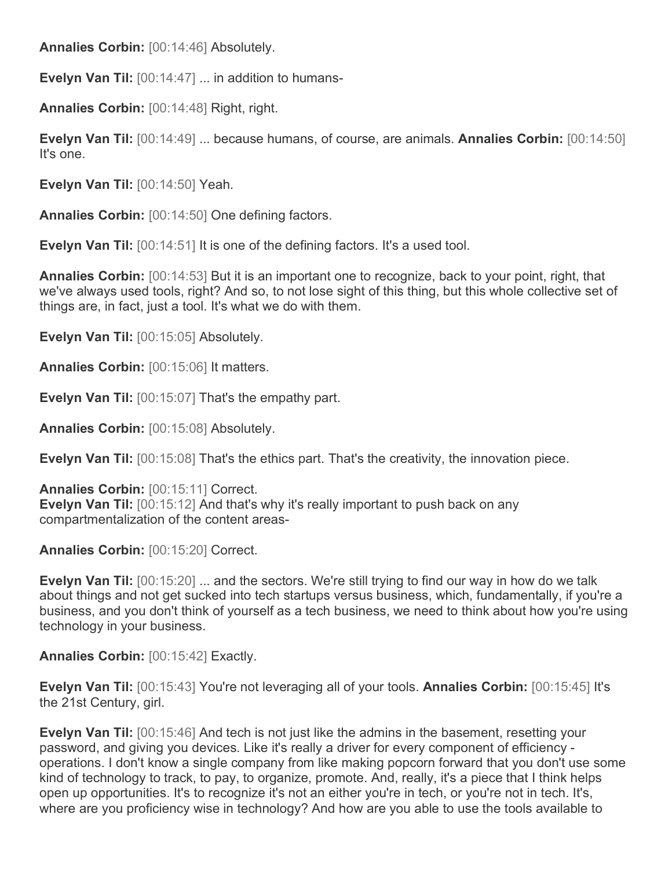**Annalies Corbin:** [00:14:46] Absolutely.

**Evelyn Van Til:** [00:14:47] ... in addition to humans-

**Annalies Corbin:** [00:14:48] Right, right.

**Evelyn Van Til:** [00:14:49] ... because humans, of course, are animals. **Annalies Corbin:** [00:14:50] It's one.

**Evelyn Van Til:** [00:14:50] Yeah.

**Annalies Corbin:** [00:14:50] One defining factors.

**Evelyn Van Til:** [00:14:51] It is one of the defining factors. It's a used tool.

**Annalies Corbin:** [00:14:53] But it is an important one to recognize, back to your point, right, that we've always used tools, right? And so, to not lose sight of this thing, but this whole collective set of things are, in fact, just a tool. It's what we do with them.

**Evelyn Van Til:** [00:15:05] Absolutely.

**Annalies Corbin:** [00:15:06] It matters.

**Evelyn Van Til:** [00:15:07] That's the empathy part.

**Annalies Corbin:** [00:15:08] Absolutely.

**Evelyn Van Til:** [00:15:08] That's the ethics part. That's the creativity, the innovation piece.

**Annalies Corbin:** [00:15:11] Correct. **Evelyn Van Til:** [00:15:12] And that's why it's really important to push back on any compartmentalization of the content areas-

**Annalies Corbin:** [00:15:20] Correct.

**Evelyn Van Til:** [00:15:20] ... and the sectors. We're still trying to find our way in how do we talk about things and not get sucked into tech startups versus business, which, fundamentally, if you're a business, and you don't think of yourself as a tech business, we need to think about how you're using technology in your business.

**Annalies Corbin:** [00:15:42] Exactly.

**Evelyn Van Til:** [00:15:43] You're not leveraging all of your tools. **Annalies Corbin:** [00:15:45] It's the 21st Century, girl.

**Evelyn Van Til:** [00:15:46] And tech is not just like the admins in the basement, resetting your password, and giving you devices. Like it's really a driver for every component of efficiency operations. I don't know a single company from like making popcorn forward that you don't use some kind of technology to track, to pay, to organize, promote. And, really, it's a piece that I think helps open up opportunities. It's to recognize it's not an either you're in tech, or you're not in tech. It's, where are you proficiency wise in technology? And how are you able to use the tools available to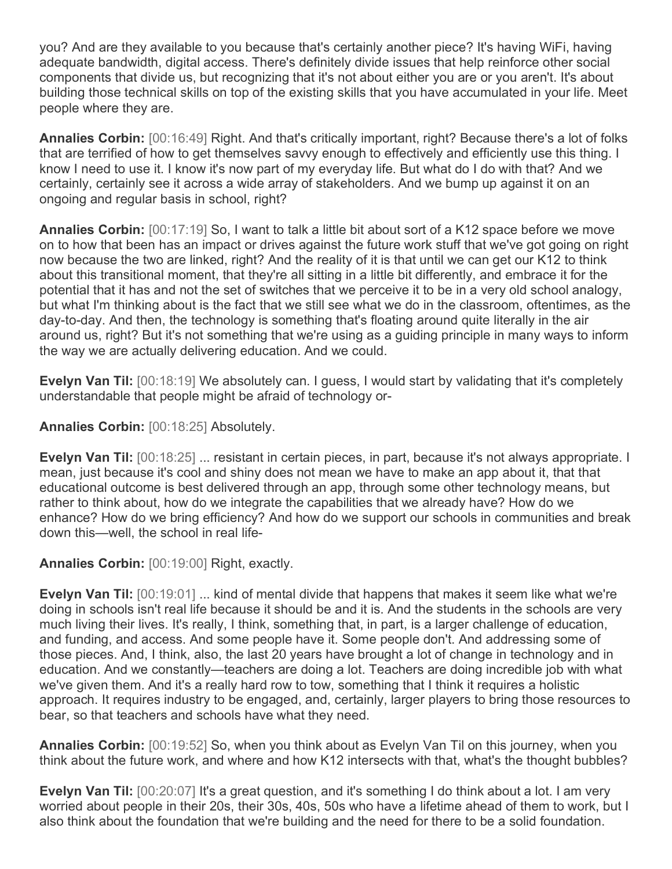you? And are they available to you because that's certainly another piece? It's having WiFi, having adequate bandwidth, digital access. There's definitely divide issues that help reinforce other social components that divide us, but recognizing that it's not about either you are or you aren't. It's about building those technical skills on top of the existing skills that you have accumulated in your life. Meet people where they are.

**Annalies Corbin:** [00:16:49] Right. And that's critically important, right? Because there's a lot of folks that are terrified of how to get themselves savvy enough to effectively and efficiently use this thing. I know I need to use it. I know it's now part of my everyday life. But what do I do with that? And we certainly, certainly see it across a wide array of stakeholders. And we bump up against it on an ongoing and regular basis in school, right?

**Annalies Corbin:** [00:17:19] So, I want to talk a little bit about sort of a K12 space before we move on to how that been has an impact or drives against the future work stuff that we've got going on right now because the two are linked, right? And the reality of it is that until we can get our K12 to think about this transitional moment, that they're all sitting in a little bit differently, and embrace it for the potential that it has and not the set of switches that we perceive it to be in a very old school analogy, but what I'm thinking about is the fact that we still see what we do in the classroom, oftentimes, as the day-to-day. And then, the technology is something that's floating around quite literally in the air around us, right? But it's not something that we're using as a guiding principle in many ways to inform the way we are actually delivering education. And we could.

**Evelyn Van Til:** [00:18:19] We absolutely can. I guess, I would start by validating that it's completely understandable that people might be afraid of technology or-

**Annalies Corbin:** [00:18:25] Absolutely.

**Evelyn Van Til:** [00:18:25] ... resistant in certain pieces, in part, because it's not always appropriate. I mean, just because it's cool and shiny does not mean we have to make an app about it, that that educational outcome is best delivered through an app, through some other technology means, but rather to think about, how do we integrate the capabilities that we already have? How do we enhance? How do we bring efficiency? And how do we support our schools in communities and break down this—well, the school in real life-

**Annalies Corbin:** [00:19:00] Right, exactly.

**Evelyn Van Til:** [00:19:01] ... kind of mental divide that happens that makes it seem like what we're doing in schools isn't real life because it should be and it is. And the students in the schools are very much living their lives. It's really, I think, something that, in part, is a larger challenge of education, and funding, and access. And some people have it. Some people don't. And addressing some of those pieces. And, I think, also, the last 20 years have brought a lot of change in technology and in education. And we constantly—teachers are doing a lot. Teachers are doing incredible job with what we've given them. And it's a really hard row to tow, something that I think it requires a holistic approach. It requires industry to be engaged, and, certainly, larger players to bring those resources to bear, so that teachers and schools have what they need.

**Annalies Corbin:** [00:19:52] So, when you think about as Evelyn Van Til on this journey, when you think about the future work, and where and how K12 intersects with that, what's the thought bubbles?

**Evelyn Van Til:** [00:20:07] It's a great question, and it's something I do think about a lot. I am very worried about people in their 20s, their 30s, 40s, 50s who have a lifetime ahead of them to work, but I also think about the foundation that we're building and the need for there to be a solid foundation.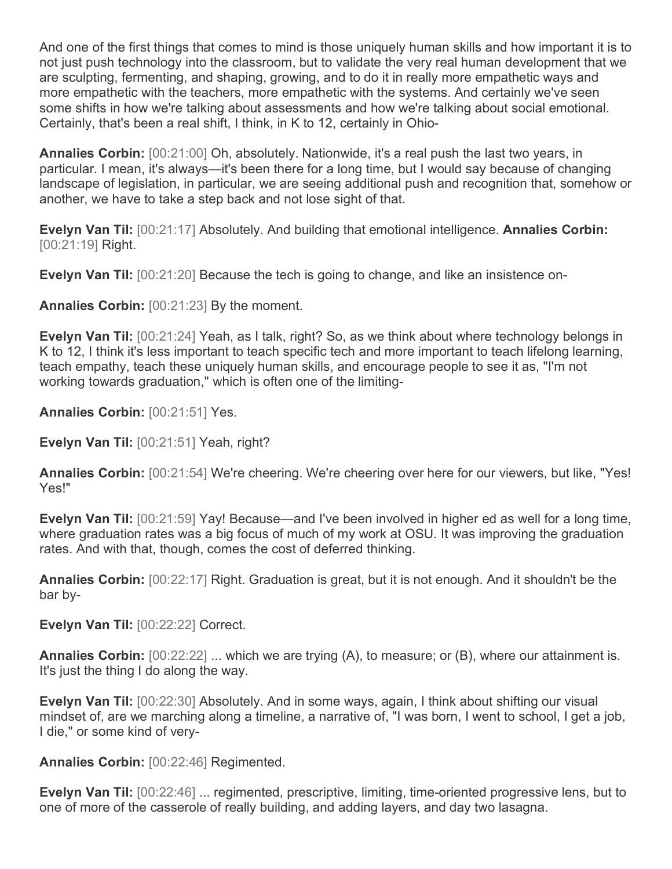And one of the first things that comes to mind is those uniquely human skills and how important it is to not just push technology into the classroom, but to validate the very real human development that we are sculpting, fermenting, and shaping, growing, and to do it in really more empathetic ways and more empathetic with the teachers, more empathetic with the systems. And certainly we've seen some shifts in how we're talking about assessments and how we're talking about social emotional. Certainly, that's been a real shift, I think, in K to 12, certainly in Ohio-

**Annalies Corbin:** [00:21:00] Oh, absolutely. Nationwide, it's a real push the last two years, in particular. I mean, it's always—it's been there for a long time, but I would say because of changing landscape of legislation, in particular, we are seeing additional push and recognition that, somehow or another, we have to take a step back and not lose sight of that.

**Evelyn Van Til:** [00:21:17] Absolutely. And building that emotional intelligence. **Annalies Corbin:**  [00:21:19] Right.

**Evelyn Van Til:** [00:21:20] Because the tech is going to change, and like an insistence on-

**Annalies Corbin:** [00:21:23] By the moment.

**Evelyn Van Til:** [00:21:24] Yeah, as I talk, right? So, as we think about where technology belongs in K to 12, I think it's less important to teach specific tech and more important to teach lifelong learning, teach empathy, teach these uniquely human skills, and encourage people to see it as, "I'm not working towards graduation," which is often one of the limiting-

**Annalies Corbin:** [00:21:51] Yes.

**Evelyn Van Til:** [00:21:51] Yeah, right?

**Annalies Corbin:** [00:21:54] We're cheering. We're cheering over here for our viewers, but like, "Yes! Yes!"

**Evelyn Van Til:** [00:21:59] Yay! Because—and I've been involved in higher ed as well for a long time, where graduation rates was a big focus of much of my work at OSU. It was improving the graduation rates. And with that, though, comes the cost of deferred thinking.

**Annalies Corbin:** [00:22:17] Right. Graduation is great, but it is not enough. And it shouldn't be the bar by-

**Evelyn Van Til:** [00:22:22] Correct.

**Annalies Corbin:** [00:22:22] ... which we are trying (A), to measure; or (B), where our attainment is. It's just the thing I do along the way.

**Evelyn Van Til:** [00:22:30] Absolutely. And in some ways, again, I think about shifting our visual mindset of, are we marching along a timeline, a narrative of, "I was born, I went to school, I get a job, I die," or some kind of very-

**Annalies Corbin:** [00:22:46] Regimented.

**Evelyn Van Til:** [00:22:46] ... regimented, prescriptive, limiting, time-oriented progressive lens, but to one of more of the casserole of really building, and adding layers, and day two lasagna.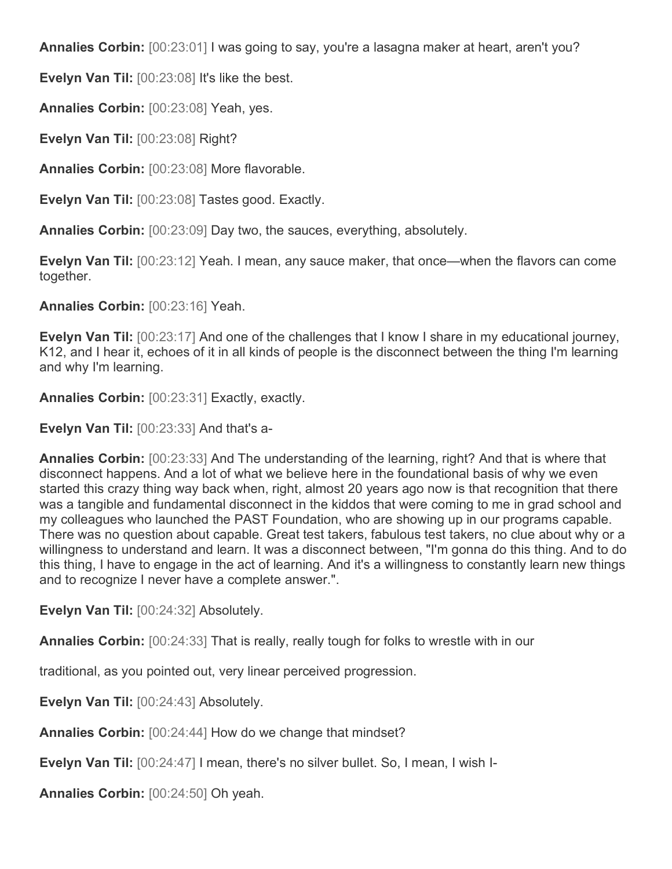**Annalies Corbin:** [00:23:01] I was going to say, you're a lasagna maker at heart, aren't you?

**Evelyn Van Til:** [00:23:08] It's like the best.

**Annalies Corbin:** [00:23:08] Yeah, yes.

**Evelyn Van Til:** [00:23:08] Right?

**Annalies Corbin:** [00:23:08] More flavorable.

**Evelyn Van Til:** [00:23:08] Tastes good. Exactly.

**Annalies Corbin:** [00:23:09] Day two, the sauces, everything, absolutely.

**Evelyn Van Til:** [00:23:12] Yeah. I mean, any sauce maker, that once—when the flavors can come together.

**Annalies Corbin:** [00:23:16] Yeah.

**Evelyn Van Til:** [00:23:17] And one of the challenges that I know I share in my educational journey, K12, and I hear it, echoes of it in all kinds of people is the disconnect between the thing I'm learning and why I'm learning.

**Annalies Corbin:** [00:23:31] Exactly, exactly.

**Evelyn Van Til:** [00:23:33] And that's a-

**Annalies Corbin:** [00:23:33] And The understanding of the learning, right? And that is where that disconnect happens. And a lot of what we believe here in the foundational basis of why we even started this crazy thing way back when, right, almost 20 years ago now is that recognition that there was a tangible and fundamental disconnect in the kiddos that were coming to me in grad school and my colleagues who launched the PAST Foundation, who are showing up in our programs capable. There was no question about capable. Great test takers, fabulous test takers, no clue about why or a willingness to understand and learn. It was a disconnect between, "I'm gonna do this thing. And to do this thing, I have to engage in the act of learning. And it's a willingness to constantly learn new things and to recognize I never have a complete answer.".

**Evelyn Van Til:** [00:24:32] Absolutely.

**Annalies Corbin:** [00:24:33] That is really, really tough for folks to wrestle with in our

traditional, as you pointed out, very linear perceived progression.

**Evelyn Van Til:** [00:24:43] Absolutely.

**Annalies Corbin:** [00:24:44] How do we change that mindset?

**Evelyn Van Til:** [00:24:47] I mean, there's no silver bullet. So, I mean, I wish I-

**Annalies Corbin:** [00:24:50] Oh yeah.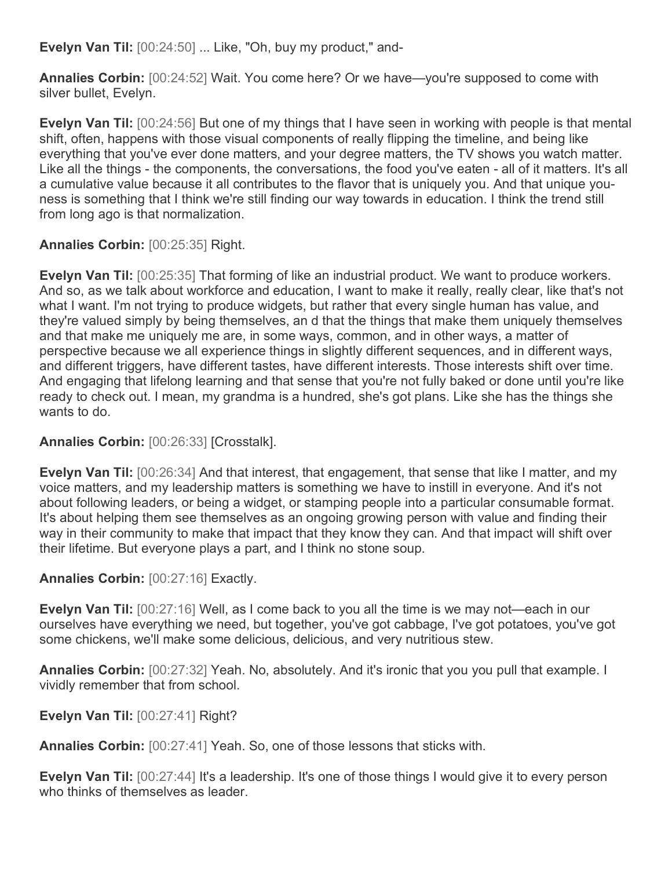**Evelyn Van Til:** [00:24:50] ... Like, "Oh, buy my product," and-

**Annalies Corbin:** [00:24:52] Wait. You come here? Or we have—you're supposed to come with silver bullet, Evelyn.

**Evelyn Van Til:** [00:24:56] But one of my things that I have seen in working with people is that mental shift, often, happens with those visual components of really flipping the timeline, and being like everything that you've ever done matters, and your degree matters, the TV shows you watch matter. Like all the things - the components, the conversations, the food you've eaten - all of it matters. It's all a cumulative value because it all contributes to the flavor that is uniquely you. And that unique youness is something that I think we're still finding our way towards in education. I think the trend still from long ago is that normalization.

**Annalies Corbin:** [00:25:35] Right.

**Evelyn Van Til:** [00:25:35] That forming of like an industrial product. We want to produce workers. And so, as we talk about workforce and education, I want to make it really, really clear, like that's not what I want. I'm not trying to produce widgets, but rather that every single human has value, and they're valued simply by being themselves, an d that the things that make them uniquely themselves and that make me uniquely me are, in some ways, common, and in other ways, a matter of perspective because we all experience things in slightly different sequences, and in different ways, and different triggers, have different tastes, have different interests. Those interests shift over time. And engaging that lifelong learning and that sense that you're not fully baked or done until you're like ready to check out. I mean, my grandma is a hundred, she's got plans. Like she has the things she wants to do.

**Annalies Corbin:** [00:26:33] [Crosstalk].

**Evelyn Van Til:** [00:26:34] And that interest, that engagement, that sense that like I matter, and my voice matters, and my leadership matters is something we have to instill in everyone. And it's not about following leaders, or being a widget, or stamping people into a particular consumable format. It's about helping them see themselves as an ongoing growing person with value and finding their way in their community to make that impact that they know they can. And that impact will shift over their lifetime. But everyone plays a part, and I think no stone soup.

**Annalies Corbin:** [00:27:16] Exactly.

**Evelyn Van Til:** [00:27:16] Well, as I come back to you all the time is we may not—each in our ourselves have everything we need, but together, you've got cabbage, I've got potatoes, you've got some chickens, we'll make some delicious, delicious, and very nutritious stew.

**Annalies Corbin:** [00:27:32] Yeah. No, absolutely. And it's ironic that you you pull that example. I vividly remember that from school.

**Evelyn Van Til:** [00:27:41] Right?

**Annalies Corbin:** [00:27:41] Yeah. So, one of those lessons that sticks with.

**Evelyn Van Til:** [00:27:44] It's a leadership. It's one of those things I would give it to every person who thinks of themselves as leader.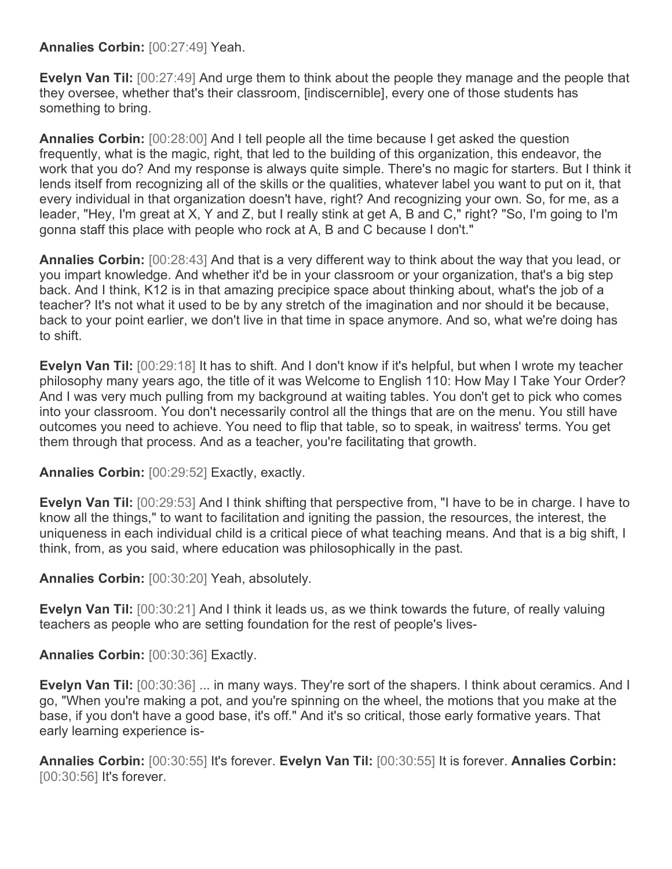## **Annalies Corbin:** [00:27:49] Yeah.

**Evelyn Van Til:** [00:27:49] And urge them to think about the people they manage and the people that they oversee, whether that's their classroom, [indiscernible], every one of those students has something to bring.

**Annalies Corbin:** [00:28:00] And I tell people all the time because I get asked the question frequently, what is the magic, right, that led to the building of this organization, this endeavor, the work that you do? And my response is always quite simple. There's no magic for starters. But I think it lends itself from recognizing all of the skills or the qualities, whatever label you want to put on it, that every individual in that organization doesn't have, right? And recognizing your own. So, for me, as a leader, "Hey, I'm great at X, Y and Z, but I really stink at get A, B and C," right? "So, I'm going to I'm gonna staff this place with people who rock at A, B and C because I don't."

**Annalies Corbin:** [00:28:43] And that is a very different way to think about the way that you lead, or you impart knowledge. And whether it'd be in your classroom or your organization, that's a big step back. And I think, K12 is in that amazing precipice space about thinking about, what's the job of a teacher? It's not what it used to be by any stretch of the imagination and nor should it be because, back to your point earlier, we don't live in that time in space anymore. And so, what we're doing has to shift.

**Evelyn Van Til:** [00:29:18] It has to shift. And I don't know if it's helpful, but when I wrote my teacher philosophy many years ago, the title of it was Welcome to English 110: How May I Take Your Order? And I was very much pulling from my background at waiting tables. You don't get to pick who comes into your classroom. You don't necessarily control all the things that are on the menu. You still have outcomes you need to achieve. You need to flip that table, so to speak, in waitress' terms. You get them through that process. And as a teacher, you're facilitating that growth.

**Annalies Corbin:** [00:29:52] Exactly, exactly.

**Evelyn Van Til:** [00:29:53] And I think shifting that perspective from, "I have to be in charge. I have to know all the things," to want to facilitation and igniting the passion, the resources, the interest, the uniqueness in each individual child is a critical piece of what teaching means. And that is a big shift, I think, from, as you said, where education was philosophically in the past.

**Annalies Corbin:** [00:30:20] Yeah, absolutely.

**Evelyn Van Til:** [00:30:21] And I think it leads us, as we think towards the future, of really valuing teachers as people who are setting foundation for the rest of people's lives-

**Annalies Corbin:** [00:30:36] Exactly.

**Evelyn Van Til:** [00:30:36] ... in many ways. They're sort of the shapers. I think about ceramics. And I go, "When you're making a pot, and you're spinning on the wheel, the motions that you make at the base, if you don't have a good base, it's off." And it's so critical, those early formative years. That early learning experience is-

**Annalies Corbin:** [00:30:55] It's forever. **Evelyn Van Til:** [00:30:55] It is forever. **Annalies Corbin:**  [00:30:56] It's forever.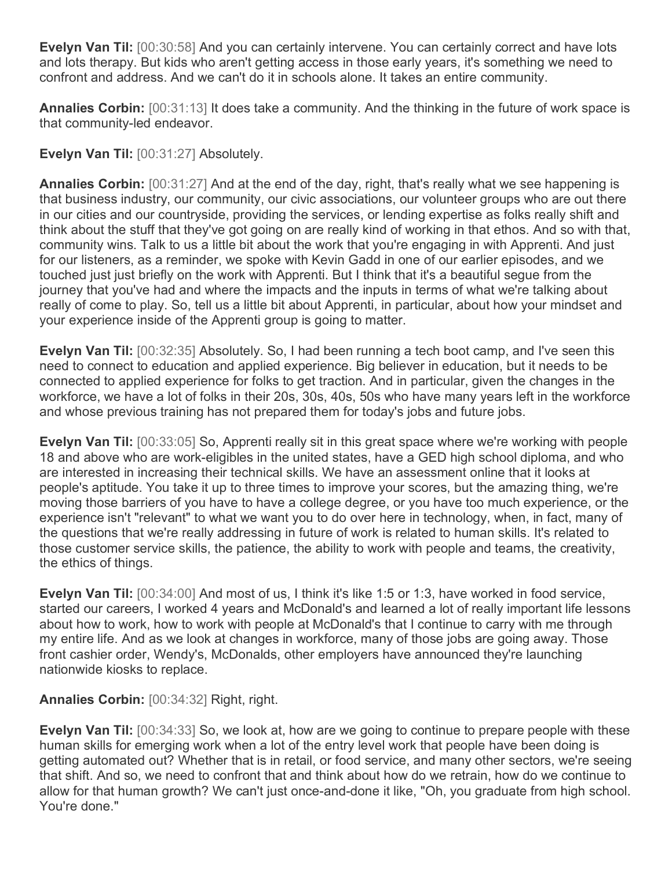**Evelyn Van Til:** [00:30:58] And you can certainly intervene. You can certainly correct and have lots and lots therapy. But kids who aren't getting access in those early years, it's something we need to confront and address. And we can't do it in schools alone. It takes an entire community.

**Annalies Corbin:** [00:31:13] It does take a community. And the thinking in the future of work space is that community-led endeavor.

**Evelyn Van Til:** [00:31:27] Absolutely.

**Annalies Corbin:** [00:31:27] And at the end of the day, right, that's really what we see happening is that business industry, our community, our civic associations, our volunteer groups who are out there in our cities and our countryside, providing the services, or lending expertise as folks really shift and think about the stuff that they've got going on are really kind of working in that ethos. And so with that, community wins. Talk to us a little bit about the work that you're engaging in with Apprenti. And just for our listeners, as a reminder, we spoke with Kevin Gadd in one of our earlier episodes, and we touched just just briefly on the work with Apprenti. But I think that it's a beautiful segue from the journey that you've had and where the impacts and the inputs in terms of what we're talking about really of come to play. So, tell us a little bit about Apprenti, in particular, about how your mindset and your experience inside of the Apprenti group is going to matter.

**Evelyn Van Til:** [00:32:35] Absolutely. So, I had been running a tech boot camp, and I've seen this need to connect to education and applied experience. Big believer in education, but it needs to be connected to applied experience for folks to get traction. And in particular, given the changes in the workforce, we have a lot of folks in their 20s, 30s, 40s, 50s who have many years left in the workforce and whose previous training has not prepared them for today's jobs and future jobs.

**Evelyn Van Til:** [00:33:05] So, Apprenti really sit in this great space where we're working with people 18 and above who are work-eligibles in the united states, have a GED high school diploma, and who are interested in increasing their technical skills. We have an assessment online that it looks at people's aptitude. You take it up to three times to improve your scores, but the amazing thing, we're moving those barriers of you have to have a college degree, or you have too much experience, or the experience isn't "relevant" to what we want you to do over here in technology, when, in fact, many of the questions that we're really addressing in future of work is related to human skills. It's related to those customer service skills, the patience, the ability to work with people and teams, the creativity, the ethics of things.

**Evelyn Van Til:** [00:34:00] And most of us, I think it's like 1:5 or 1:3, have worked in food service, started our careers, I worked 4 years and McDonald's and learned a lot of really important life lessons about how to work, how to work with people at McDonald's that I continue to carry with me through my entire life. And as we look at changes in workforce, many of those jobs are going away. Those front cashier order, Wendy's, McDonalds, other employers have announced they're launching nationwide kiosks to replace.

**Annalies Corbin:** [00:34:32] Right, right.

**Evelyn Van Til:** [00:34:33] So, we look at, how are we going to continue to prepare people with these human skills for emerging work when a lot of the entry level work that people have been doing is getting automated out? Whether that is in retail, or food service, and many other sectors, we're seeing that shift. And so, we need to confront that and think about how do we retrain, how do we continue to allow for that human growth? We can't just once-and-done it like, "Oh, you graduate from high school. You're done."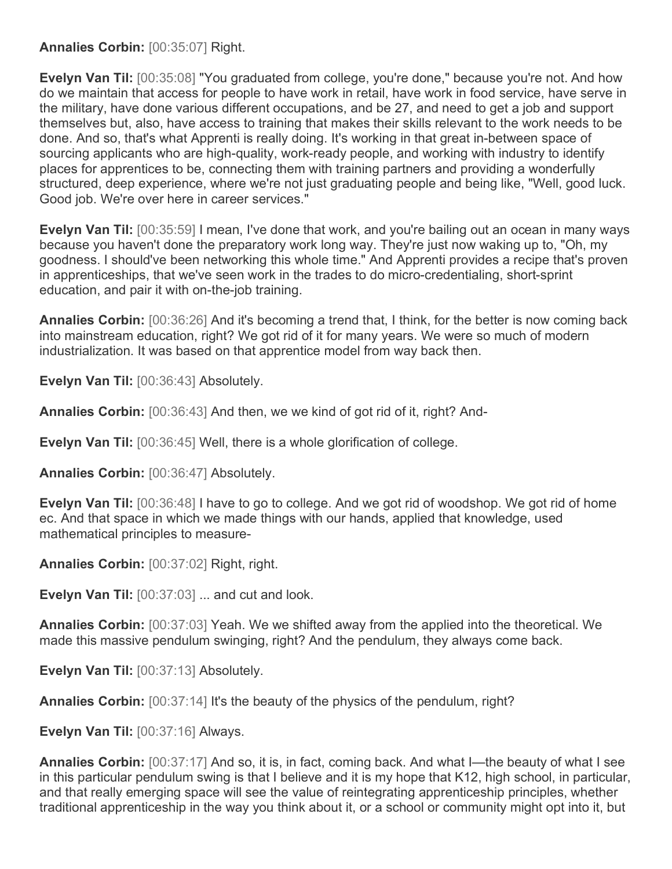**Annalies Corbin:** [00:35:07] Right.

**Evelyn Van Til:** [00:35:08] "You graduated from college, you're done," because you're not. And how do we maintain that access for people to have work in retail, have work in food service, have serve in the military, have done various different occupations, and be 27, and need to get a job and support themselves but, also, have access to training that makes their skills relevant to the work needs to be done. And so, that's what Apprenti is really doing. It's working in that great in-between space of sourcing applicants who are high-quality, work-ready people, and working with industry to identify places for apprentices to be, connecting them with training partners and providing a wonderfully structured, deep experience, where we're not just graduating people and being like, "Well, good luck. Good job. We're over here in career services."

**Evelyn Van Til:** [00:35:59] I mean, I've done that work, and you're bailing out an ocean in many ways because you haven't done the preparatory work long way. They're just now waking up to, "Oh, my goodness. I should've been networking this whole time." And Apprenti provides a recipe that's proven in apprenticeships, that we've seen work in the trades to do micro-credentialing, short-sprint education, and pair it with on-the-job training.

**Annalies Corbin:** [00:36:26] And it's becoming a trend that, I think, for the better is now coming back into mainstream education, right? We got rid of it for many years. We were so much of modern industrialization. It was based on that apprentice model from way back then.

**Evelyn Van Til:** [00:36:43] Absolutely.

**Annalies Corbin:** [00:36:43] And then, we we kind of got rid of it, right? And-

**Evelyn Van Til:** [00:36:45] Well, there is a whole glorification of college.

**Annalies Corbin:** [00:36:47] Absolutely.

**Evelyn Van Til:** [00:36:48] I have to go to college. And we got rid of woodshop. We got rid of home ec. And that space in which we made things with our hands, applied that knowledge, used mathematical principles to measure-

**Annalies Corbin:** [00:37:02] Right, right.

**Evelyn Van Til:** [00:37:03] ... and cut and look.

**Annalies Corbin:** [00:37:03] Yeah. We we shifted away from the applied into the theoretical. We made this massive pendulum swinging, right? And the pendulum, they always come back.

**Evelyn Van Til:** [00:37:13] Absolutely.

**Annalies Corbin:** [00:37:14] It's the beauty of the physics of the pendulum, right?

**Evelyn Van Til:** [00:37:16] Always.

**Annalies Corbin:** [00:37:17] And so, it is, in fact, coming back. And what I—the beauty of what I see in this particular pendulum swing is that I believe and it is my hope that K12, high school, in particular, and that really emerging space will see the value of reintegrating apprenticeship principles, whether traditional apprenticeship in the way you think about it, or a school or community might opt into it, but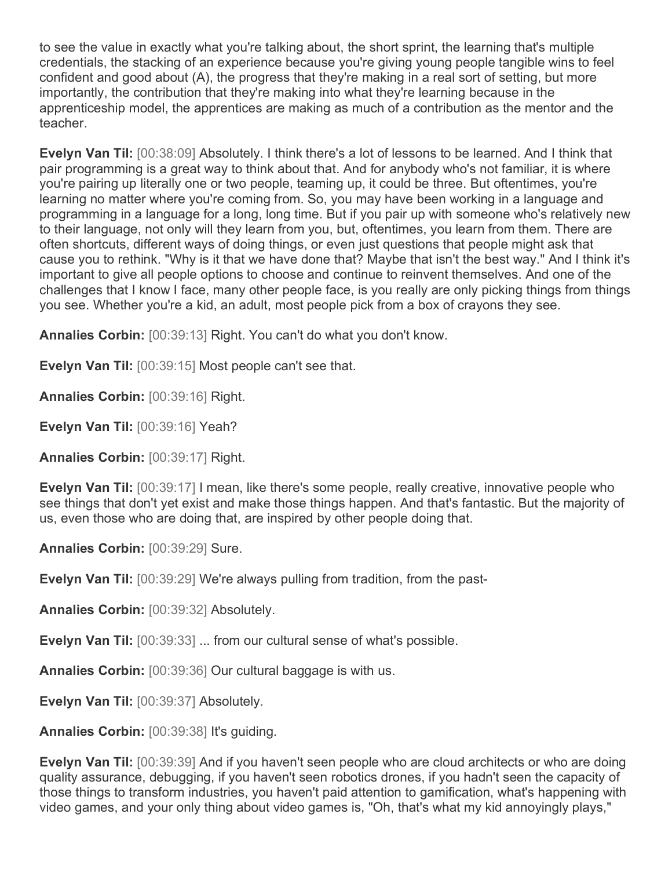to see the value in exactly what you're talking about, the short sprint, the learning that's multiple credentials, the stacking of an experience because you're giving young people tangible wins to feel confident and good about (A), the progress that they're making in a real sort of setting, but more importantly, the contribution that they're making into what they're learning because in the apprenticeship model, the apprentices are making as much of a contribution as the mentor and the teacher.

**Evelyn Van Til:** [00:38:09] Absolutely. I think there's a lot of lessons to be learned. And I think that pair programming is a great way to think about that. And for anybody who's not familiar, it is where you're pairing up literally one or two people, teaming up, it could be three. But oftentimes, you're learning no matter where you're coming from. So, you may have been working in a language and programming in a language for a long, long time. But if you pair up with someone who's relatively new to their language, not only will they learn from you, but, oftentimes, you learn from them. There are often shortcuts, different ways of doing things, or even just questions that people might ask that cause you to rethink. "Why is it that we have done that? Maybe that isn't the best way." And I think it's important to give all people options to choose and continue to reinvent themselves. And one of the challenges that I know I face, many other people face, is you really are only picking things from things you see. Whether you're a kid, an adult, most people pick from a box of crayons they see.

**Annalies Corbin:** [00:39:13] Right. You can't do what you don't know.

**Evelyn Van Til:** [00:39:15] Most people can't see that.

**Annalies Corbin:** [00:39:16] Right.

**Evelyn Van Til:** [00:39:16] Yeah?

**Annalies Corbin:** [00:39:17] Right.

**Evelyn Van Til:** [00:39:17] I mean, like there's some people, really creative, innovative people who see things that don't yet exist and make those things happen. And that's fantastic. But the majority of us, even those who are doing that, are inspired by other people doing that.

**Annalies Corbin:** [00:39:29] Sure.

**Evelyn Van Til:** [00:39:29] We're always pulling from tradition, from the past-

**Annalies Corbin:** [00:39:32] Absolutely.

**Evelyn Van Til:** [00:39:33] ... from our cultural sense of what's possible.

**Annalies Corbin:** [00:39:36] Our cultural baggage is with us.

**Evelyn Van Til:** [00:39:37] Absolutely.

**Annalies Corbin:** [00:39:38] It's guiding.

**Evelyn Van Til:** [00:39:39] And if you haven't seen people who are cloud architects or who are doing quality assurance, debugging, if you haven't seen robotics drones, if you hadn't seen the capacity of those things to transform industries, you haven't paid attention to gamification, what's happening with video games, and your only thing about video games is, "Oh, that's what my kid annoyingly plays,"